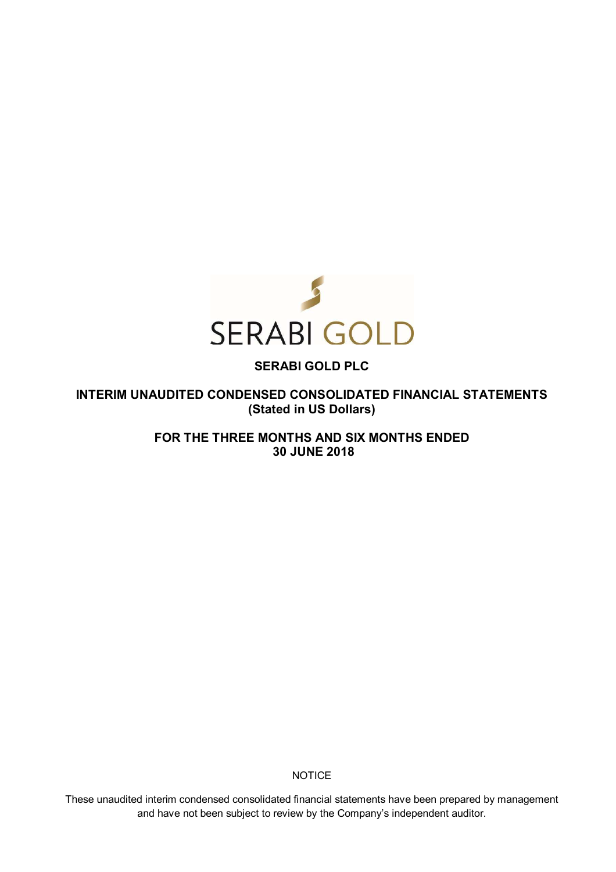

**INTERIM UNAUDITED CONDENSED CONSOLIDATED FINANCIAL STATEMENTS (Stated in US Dollars)** 

> **FOR THE THREE MONTHS AND SIX MONTHS ENDED 30 JUNE 2018**

> > **NOTICE**

These unaudited interim condensed consolidated financial statements have been prepared by management and have not been subject to review by the Company's independent auditor.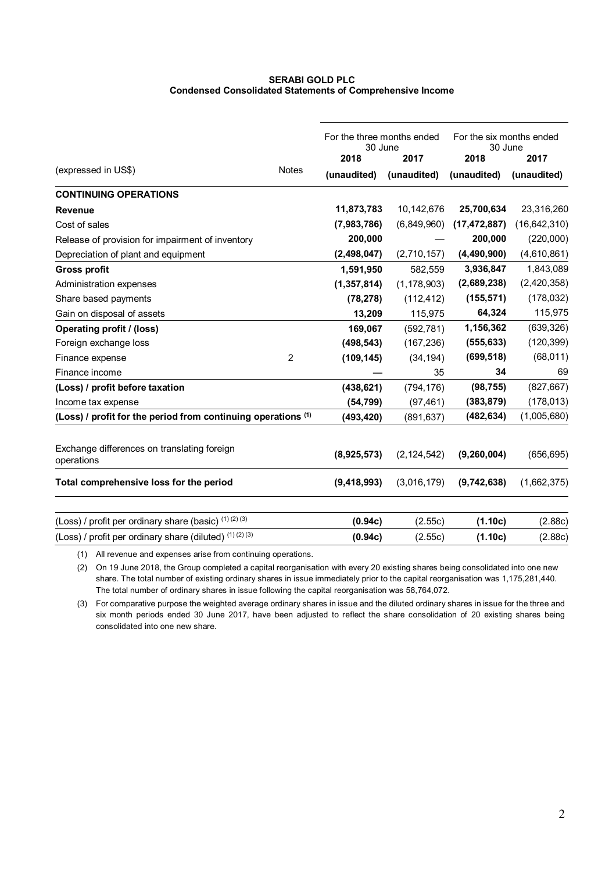# **SERABI GOLD PLC Condensed Consolidated Statements of Comprehensive Income**

| (expressed in US\$)<br><b>Notes</b>                                      | 30 June<br>2018<br>(unaudited) | For the three months ended<br>2017<br>(unaudited) | For the six months ended<br>30 June<br>2018<br>(unaudited) | 2017<br>(unaudited) |
|--------------------------------------------------------------------------|--------------------------------|---------------------------------------------------|------------------------------------------------------------|---------------------|
| <b>CONTINUING OPERATIONS</b>                                             |                                |                                                   |                                                            |                     |
| <b>Revenue</b>                                                           | 11,873,783                     | 10,142,676                                        | 25,700,634                                                 | 23,316,260          |
| Cost of sales                                                            | (7,983,786)                    | (6,849,960)                                       | (17, 472, 887)                                             | (16, 642, 310)      |
| Release of provision for impairment of inventory                         | 200,000                        |                                                   | 200,000                                                    | (220,000)           |
| Depreciation of plant and equipment                                      | (2,498,047)                    | (2,710,157)                                       | (4,490,900)                                                | (4,610,861)         |
| <b>Gross profit</b>                                                      | 1,591,950                      | 582,559                                           | 3,936,847                                                  | 1,843,089           |
| Administration expenses                                                  | (1, 357, 814)                  | (1, 178, 903)                                     | (2,689,238)                                                | (2,420,358)         |
| Share based payments                                                     | (78, 278)                      | (112, 412)                                        | (155, 571)                                                 | (178, 032)          |
| Gain on disposal of assets                                               | 13,209                         | 115,975                                           | 64,324                                                     | 115,975             |
| <b>Operating profit / (loss)</b>                                         | 169,067                        | (592, 781)                                        | 1,156,362                                                  | (639, 326)          |
| Foreign exchange loss                                                    | (498, 543)                     | (167, 236)                                        | (555, 633)                                                 | (120, 399)          |
| $\overline{2}$<br>Finance expense                                        | (109, 145)                     | (34, 194)                                         | (699, 518)                                                 | (68, 011)           |
| Finance income                                                           |                                | 35                                                | 34                                                         | 69                  |
| (Loss) / profit before taxation                                          | (438, 621)                     | (794, 176)                                        | (98, 755)                                                  | (827, 667)          |
| Income tax expense                                                       | (54, 799)                      | (97, 461)                                         | (383, 879)                                                 | (178, 013)          |
| (Loss) / profit for the period from continuing operations <sup>(1)</sup> | (493, 420)                     | (891, 637)                                        | (482, 634)                                                 | (1,005,680)         |
| Exchange differences on translating foreign<br>operations                | (8,925,573)                    | (2, 124, 542)                                     | (9,260,004)                                                | (656, 695)          |
| Total comprehensive loss for the period                                  | (9,418,993)                    | (3,016,179)                                       | (9,742,638)                                                | (1,662,375)         |
| (Loss) / profit per ordinary share (basic) (1) (2) (3)                   | (0.94c)                        | (2.55c)                                           | (1.10c)                                                    | (2.88c)             |
| (Loss) / profit per ordinary share (diluted) $(1)(2)(3)$                 | (0.94c)                        | (2.55c)                                           | (1.10c)                                                    | (2.88c)             |

(1) All revenue and expenses arise from continuing operations.

(2) On 19 June 2018, the Group completed a capital reorganisation with every 20 existing shares being consolidated into one new share. The total number of existing ordinary shares in issue immediately prior to the capital reorganisation was 1,175,281,440. The total number of ordinary shares in issue following the capital reorganisation was 58,764,072.

(3) For comparative purpose the weighted average ordinary shares in issue and the diluted ordinary shares in issue for the three and six month periods ended 30 June 2017, have been adjusted to reflect the share consolidation of 20 existing shares being consolidated into one new share.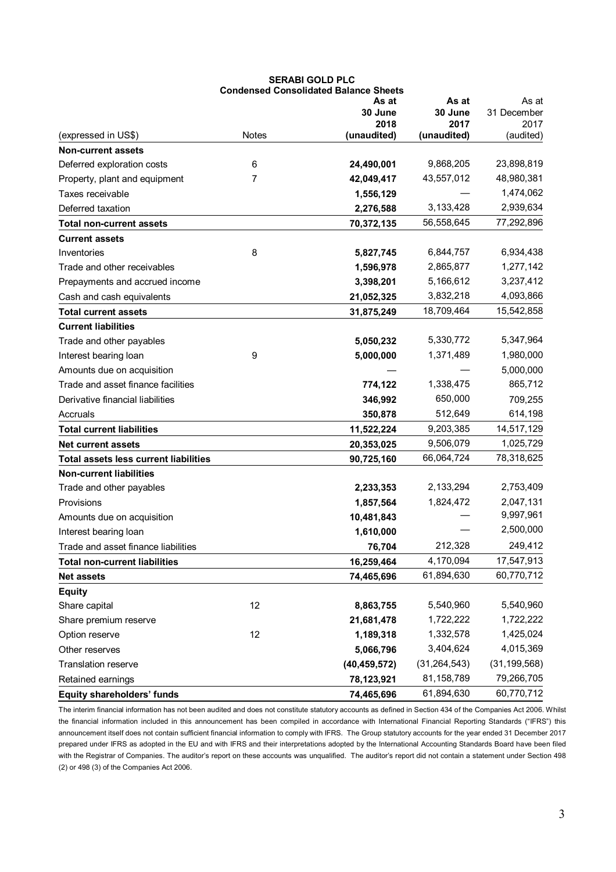|                                       |              | <b>Condensed Consolidated Balance Sheets</b> |                |                |
|---------------------------------------|--------------|----------------------------------------------|----------------|----------------|
|                                       |              | As at                                        | As at          | As at          |
|                                       |              | 30 June                                      | 30 June        | 31 December    |
|                                       |              | 2018                                         | 2017           | 2017           |
| (expressed in US\$)                   | <b>Notes</b> | (unaudited)                                  | (unaudited)    | (audited)      |
| <b>Non-current assets</b>             |              |                                              |                |                |
| Deferred exploration costs            | 6            | 24,490,001                                   | 9,868,205      | 23,898,819     |
| Property, plant and equipment         | 7            | 42,049,417                                   | 43,557,012     | 48,980,381     |
| Taxes receivable                      |              | 1,556,129                                    |                | 1,474,062      |
| Deferred taxation                     |              | 2,276,588                                    | 3,133,428      | 2,939,634      |
| <b>Total non-current assets</b>       |              | 70,372,135                                   | 56,558,645     | 77,292,896     |
| <b>Current assets</b>                 |              |                                              |                |                |
| Inventories                           | 8            | 5,827,745                                    | 6,844,757      | 6,934,438      |
| Trade and other receivables           |              | 1,596,978                                    | 2,865,877      | 1,277,142      |
| Prepayments and accrued income        |              | 3,398,201                                    | 5,166,612      | 3,237,412      |
| Cash and cash equivalents             |              | 21,052,325                                   | 3,832,218      | 4,093,866      |
| <b>Total current assets</b>           |              | 31,875,249                                   | 18,709,464     | 15,542,858     |
| <b>Current liabilities</b>            |              |                                              |                |                |
| Trade and other payables              |              | 5,050,232                                    | 5,330,772      | 5,347,964      |
| Interest bearing loan                 | 9            | 5,000,000                                    | 1,371,489      | 1,980,000      |
| Amounts due on acquisition            |              |                                              |                | 5,000,000      |
| Trade and asset finance facilities    |              | 774,122                                      | 1,338,475      | 865,712        |
| Derivative financial liabilities      |              | 346,992                                      | 650,000        | 709,255        |
| Accruals                              |              | 350,878                                      | 512,649        | 614,198        |
| <b>Total current liabilities</b>      |              | 11,522,224                                   | 9,203,385      | 14,517,129     |
| <b>Net current assets</b>             |              | 20,353,025                                   | 9,506,079      | 1,025,729      |
| Total assets less current liabilities |              | 90,725,160                                   | 66,064,724     | 78,318,625     |
| <b>Non-current liabilities</b>        |              |                                              |                |                |
| Trade and other payables              |              | 2,233,353                                    | 2,133,294      | 2,753,409      |
| Provisions                            |              | 1,857,564                                    | 1,824,472      | 2,047,131      |
| Amounts due on acquisition            |              | 10,481,843                                   |                | 9,997,961      |
| Interest bearing loan                 |              | 1,610,000                                    |                | 2,500,000      |
| Trade and asset finance liabilities   |              | 76,704                                       | 212,328        | 249,412        |
| <b>Total non-current liabilities</b>  |              | 16,259,464                                   | 4,170,094      | 17,547,913     |
| <b>Net assets</b>                     |              | 74,465,696                                   | 61,894,630     | 60,770,712     |
| <b>Equity</b>                         |              |                                              |                |                |
| Share capital                         | 12           | 8,863,755                                    | 5,540,960      | 5,540,960      |
| Share premium reserve                 |              | 21,681,478                                   | 1,722,222      | 1,722,222      |
| Option reserve                        | 12           | 1,189,318                                    | 1,332,578      | 1,425,024      |
| Other reserves                        |              | 5,066,796                                    | 3,404,624      | 4,015,369      |
| Translation reserve                   |              | (40, 459, 572)                               | (31, 264, 543) | (31, 199, 568) |
| Retained earnings                     |              | 78,123,921                                   | 81,158,789     | 79,266,705     |
|                                       |              |                                              | 61,894,630     | 60,770,712     |
| <b>Equity shareholders' funds</b>     |              | 74,465,696                                   |                |                |

The interim financial information has not been audited and does not constitute statutory accounts as defined in Section 434 of the Companies Act 2006. Whilst the financial information included in this announcement has been compiled in accordance with International Financial Reporting Standards ("IFRS") this announcement itself does not contain sufficient financial information to comply with IFRS. The Group statutory accounts for the year ended 31 December 2017 prepared under IFRS as adopted in the EU and with IFRS and their interpretations adopted by the International Accounting Standards Board have been filed with the Registrar of Companies. The auditor's report on these accounts was unqualified. The auditor's report did not contain a statement under Section 498 (2) or 498 (3) of the Companies Act 2006.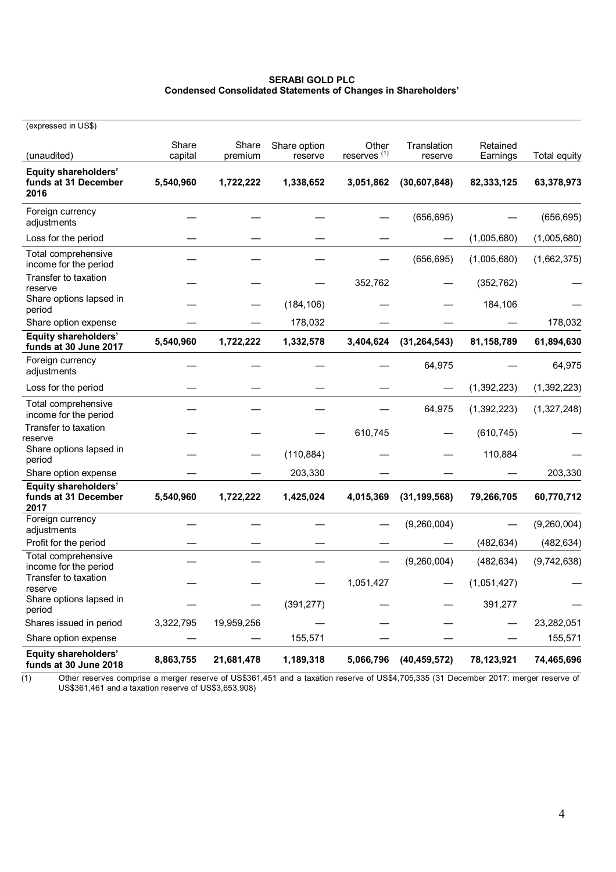# **SERABI GOLD PLC Condensed Consolidated Statements of Changes in Shareholders'**

| (expressed in US\$)                                  |                  |                  |                         |                                  |                        |                      |              |
|------------------------------------------------------|------------------|------------------|-------------------------|----------------------------------|------------------------|----------------------|--------------|
| (unaudited)                                          | Share<br>capital | Share<br>premium | Share option<br>reserve | Other<br>reserves <sup>(1)</sup> | Translation<br>reserve | Retained<br>Earnings | Total equity |
| Equity shareholders'<br>funds at 31 December<br>2016 | 5,540,960        | 1,722,222        | 1,338,652               | 3,051,862                        | (30,607,848)           | 82,333,125           | 63,378,973   |
| Foreign currency<br>adjustments                      |                  |                  |                         |                                  | (656, 695)             |                      | (656, 695)   |
| Loss for the period                                  |                  |                  |                         |                                  |                        | (1,005,680)          | (1,005,680)  |
| Total comprehensive<br>income for the period         |                  |                  |                         |                                  | (656, 695)             | (1,005,680)          | (1,662,375)  |
| Transfer to taxation<br>reserve                      |                  |                  |                         | 352,762                          |                        | (352, 762)           |              |
| Share options lapsed in<br>period                    |                  |                  | (184, 106)              |                                  |                        | 184,106              |              |
| Share option expense                                 |                  |                  | 178,032                 |                                  |                        |                      | 178,032      |
| <b>Equity shareholders'</b><br>funds at 30 June 2017 | 5,540,960        | 1,722,222        | 1,332,578               | 3,404,624                        | (31, 264, 543)         | 81,158,789           | 61,894,630   |
| Foreign currency<br>adjustments                      |                  |                  |                         |                                  | 64,975                 |                      | 64,975       |
| Loss for the period                                  |                  |                  |                         |                                  |                        | (1, 392, 223)        | (1,392,223)  |
| Total comprehensive<br>income for the period         |                  |                  |                         |                                  | 64,975                 | (1,392,223)          | (1,327,248)  |
| Transfer to taxation<br>reserve                      |                  |                  |                         | 610,745                          |                        | (610, 745)           |              |
| Share options lapsed in<br>period                    |                  |                  | (110, 884)              |                                  |                        | 110,884              |              |
| Share option expense                                 |                  |                  | 203,330                 |                                  |                        |                      | 203,330      |
| Equity shareholders'<br>funds at 31 December<br>2017 | 5,540,960        | 1,722,222        | 1,425,024               | 4,015,369                        | (31, 199, 568)         | 79,266,705           | 60,770,712   |
| Foreign currency<br>adjustments                      |                  |                  |                         |                                  | (9,260,004)            |                      | (9,260,004)  |
| Profit for the period                                |                  |                  |                         |                                  |                        | (482, 634)           | (482, 634)   |
| Total comprehensive<br>income for the period         |                  |                  |                         |                                  | (9,260,004)            | (482, 634)           | (9,742,638)  |
| Transfer to taxation<br>reserve                      |                  |                  |                         | 1,051,427                        |                        | (1,051,427)          |              |
| Share options lapsed in<br>period                    |                  |                  | (391, 277)              |                                  |                        | 391,277              |              |
| Shares issued in period                              | 3,322,795        | 19,959,256       |                         |                                  |                        |                      | 23,282,051   |
| Share option expense                                 |                  |                  | 155,571                 |                                  |                        |                      | 155,571      |
| Equity shareholders'<br>funds at 30 June 2018        | 8,863,755        | 21,681,478       | 1,189,318               | 5,066,796                        | (40, 459, 572)         | 78,123,921           | 74,465,696   |

(1) Other reserves comprise a merger reserve of US\$361,451 and a taxation reserve of US\$4,705,335 (31 December 2017: merger reserve of US\$361,461 and a taxation reserve of US\$3,653,908)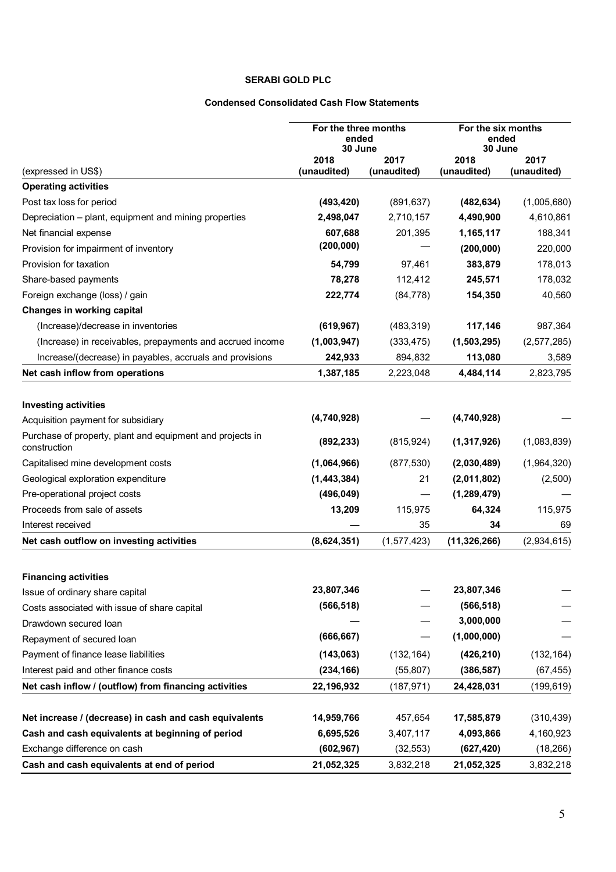# **Condensed Consolidated Cash Flow Statements**

|                                                                           | For the three months<br>ended<br>30 June |                     | For the six months<br>ended<br>30 June |                     |
|---------------------------------------------------------------------------|------------------------------------------|---------------------|----------------------------------------|---------------------|
| (expressed in US\$)                                                       | 2018<br>(unaudited)                      | 2017<br>(unaudited) | 2018<br>(unaudited)                    | 2017<br>(unaudited) |
| <b>Operating activities</b>                                               |                                          |                     |                                        |                     |
| Post tax loss for period                                                  | (493, 420)                               | (891, 637)          | (482, 634)                             | (1,005,680)         |
| Depreciation - plant, equipment and mining properties                     | 2,498,047                                | 2,710,157           | 4,490,900                              | 4,610,861           |
| Net financial expense                                                     | 607,688                                  | 201,395             | 1,165,117                              | 188,341             |
| Provision for impairment of inventory                                     | (200, 000)                               |                     | (200, 000)                             | 220,000             |
| Provision for taxation                                                    | 54,799                                   | 97,461              | 383,879                                | 178,013             |
| Share-based payments                                                      | 78,278                                   | 112,412             | 245,571                                | 178,032             |
| Foreign exchange (loss) / gain                                            | 222,774                                  | (84, 778)           | 154,350                                | 40,560              |
| Changes in working capital                                                |                                          |                     |                                        |                     |
| (Increase)/decrease in inventories                                        | (619, 967)                               | (483, 319)          | 117,146                                | 987,364             |
| (Increase) in receivables, prepayments and accrued income                 | (1,003,947)                              | (333, 475)          | (1,503,295)                            | (2,577,285)         |
| Increase/(decrease) in payables, accruals and provisions                  | 242,933                                  | 894,832             | 113,080                                | 3,589               |
| Net cash inflow from operations                                           | 1,387,185                                | 2,223,048           | 4,484,114                              | 2,823,795           |
|                                                                           |                                          |                     |                                        |                     |
| <b>Investing activities</b>                                               | (4,740,928)                              |                     | (4,740,928)                            |                     |
| Acquisition payment for subsidiary                                        |                                          |                     |                                        |                     |
| Purchase of property, plant and equipment and projects in<br>construction | (892, 233)                               | (815, 924)          | (1,317,926)                            | (1,083,839)         |
| Capitalised mine development costs                                        | (1,064,966)                              | (877, 530)          | (2,030,489)                            | (1,964,320)         |
| Geological exploration expenditure                                        | (1, 443, 384)                            | 21                  | (2,011,802)                            | (2,500)             |
| Pre-operational project costs                                             | (496, 049)                               |                     | (1, 289, 479)                          |                     |
| Proceeds from sale of assets                                              | 13,209                                   | 115,975             | 64,324                                 | 115,975             |
| Interest received                                                         |                                          | 35                  | 34                                     | 69                  |
| Net cash outflow on investing activities                                  | (8,624,351)                              | (1, 577, 423)       | (11, 326, 266)                         | (2,934,615)         |
| <b>Financing activities</b>                                               |                                          |                     |                                        |                     |
| Issue of ordinary share capital                                           | 23,807,346                               |                     | 23,807,346                             |                     |
| Costs associated with issue of share capital                              | (566, 518)                               |                     | (566, 518)                             |                     |
| Drawdown secured loan                                                     |                                          |                     | 3,000,000                              |                     |
| Repayment of secured loan                                                 | (666, 667)                               |                     | (1,000,000)                            |                     |
| Payment of finance lease liabilities                                      | (143,063)                                | (132, 164)          | (426, 210)                             | (132, 164)          |
| Interest paid and other finance costs                                     | (234, 166)                               | (55, 807)           | (386, 587)                             | (67, 455)           |
| Net cash inflow / (outflow) from financing activities                     | 22,196,932                               | (187, 971)          | 24,428,031                             | (199, 619)          |
|                                                                           |                                          |                     |                                        |                     |
| Net increase / (decrease) in cash and cash equivalents                    | 14,959,766                               | 457,654             | 17,585,879                             | (310, 439)          |
| Cash and cash equivalents at beginning of period                          | 6,695,526                                | 3,407,117           | 4,093,866                              | 4,160,923           |
| Exchange difference on cash                                               | (602, 967)                               | (32, 553)           | (627, 420)                             | (18, 266)           |
| Cash and cash equivalents at end of period                                | 21,052,325                               | 3,832,218           | 21,052,325                             | 3,832,218           |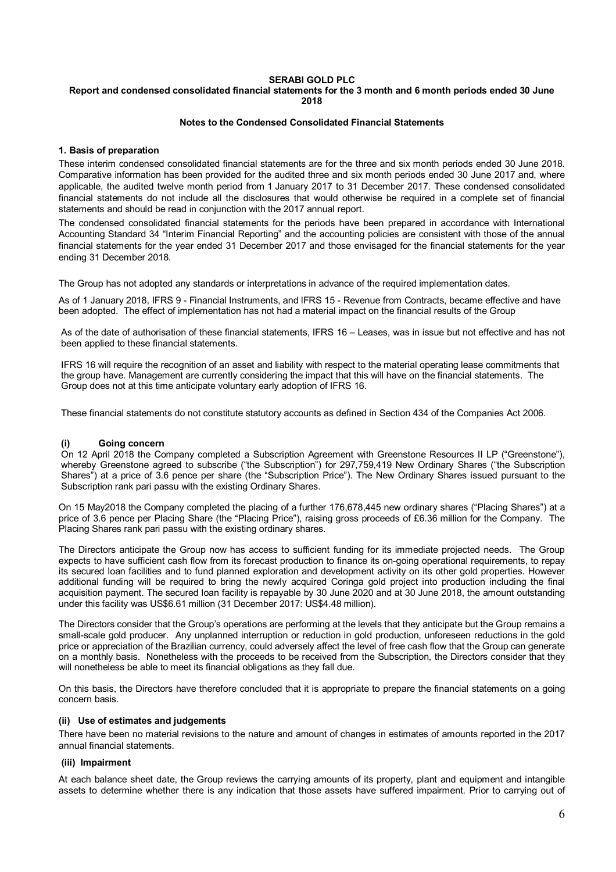# **Report and condensed consolidated financial statements for the 3 month and 6 month periods ended 30 June 2018**

#### **Notes to the Condensed Consolidated Financial Statements**

#### **1. Basis of preparation**

These interim condensed consolidated financial statements are for the three and six month periods ended 30 June 2018. Comparative information has been provided for the audited three and six month periods ended 30 June 2017 and, where applicable, the audited twelve month period from 1 January 2017 to 31 December 2017. These condensed consolidated financial statements do not include all the disclosures that would otherwise be required in a complete set of financial statements and should be read in conjunction with the 2017 annual report.

The condensed consolidated financial statements for the periods have been prepared in accordance with International Accounting Standard 34 "Interim Financial Reporting" and the accounting policies are consistent with those of the annual financial statements for the year ended 31 December 2017 and those envisaged for the financial statements for the year ending 31 December 2018.

The Group has not adopted any standards or interpretations in advance of the required implementation dates.

As of 1 January 2018, lFRS 9 - Financial Instruments, and lFRS 15 - Revenue from Contracts, became effective and have been adopted. The effect of implementation has not had a material impact on the financial results of the Group

As of the date of authorisation of these financial statements, IFRS 16 – Leases, was in issue but not effective and has not been applied to these financial statements.

IFRS 16 will require the recognition of an asset and liability with respect to the material operating lease commitments that the group have. Management are currently considering the impact that this will have on the financial statements. The Group does not at this time anticipate voluntary early adoption of IFRS 16.

These financial statements do not constitute statutory accounts as defined in Section 434 of the Companies Act 2006.

#### Going concern

On 12 April 2018 the Company completed a Subscription Agreement with Greenstone Resources II LP ("Greenstone"), whereby Greenstone agreed to subscribe ("the Subscription") for 297,759,419 New Ordinary Shares ("the Subscription Shares") at a price of 3.6 pence per share (the "Subscription Price"). The New Ordinary Shares issued pursuant to the Subscription rank pari passu with the existing Ordinary Shares.

On 15 May2018 the Company completed the placing of a further 176,678,445 new ordinary shares ("Placing Shares") at a price of 3.6 pence per Placing Share (the "Placing Price"), raising gross proceeds of £6.36 million for the Company. The Placing Shares rank pari passu with the existing ordinary shares.

The Directors anticipate the Group now has access to sufficient funding for its immediate projected needs. The Group expects to have sufficient cash flow from its forecast production to finance its on-going operational requirements, to repay its secured loan facilities and to fund planned exploration and development activity on its other gold properties. However additional funding will be required to bring the newly acquired Coringa gold project into production including the final acquisition payment. The secured loan facility is repayable by 30 June 2020 and at 30 June 2018, the amount outstanding under this facility was US\$6.61 million (31 December 2017: US\$4.48 million).

The Directors consider that the Group's operations are performing at the levels that they anticipate but the Group remains a small-scale gold producer. Any unplanned interruption or reduction in gold production, unforeseen reductions in the gold price or appreciation of the Brazilian currency, could adversely affect the level of free cash flow that the Group can generate on a monthly basis. Nonetheless with the proceeds to be received from the Subscription, the Directors consider that they will nonetheless be able to meet its financial obligations as they fall due.

On this basis, the Directors have therefore concluded that it is appropriate to prepare the financial statements on a going concern basis.

#### **(ii) Use of estimates and judgements**

There have been no material revisions to the nature and amount of changes in estimates of amounts reported in the 2017 annual financial statements.

#### **(iii) Impairment**

At each balance sheet date, the Group reviews the carrying amounts of its property, plant and equipment and intangible assets to determine whether there is any indication that those assets have suffered impairment. Prior to carrying out of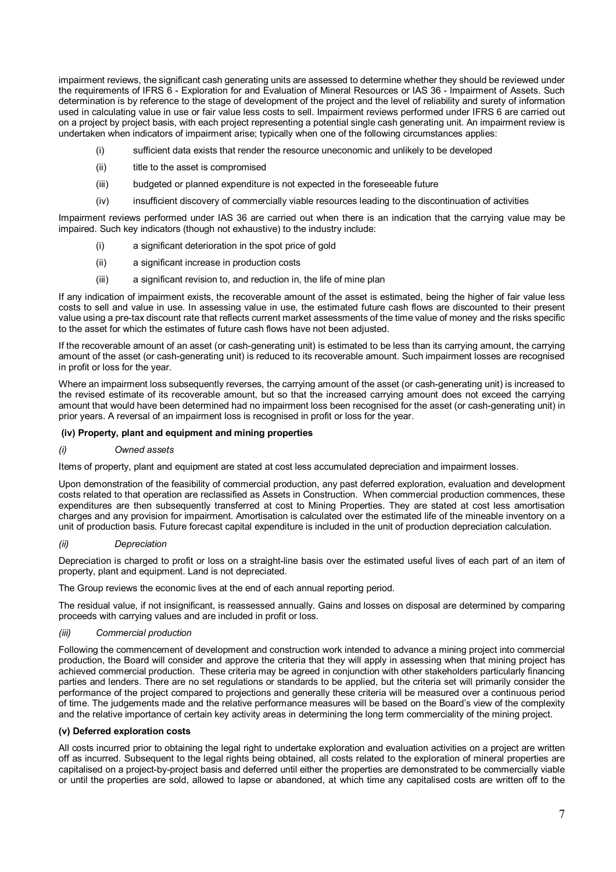impairment reviews, the significant cash generating units are assessed to determine whether they should be reviewed under the requirements of IFRS 6 - Exploration for and Evaluation of Mineral Resources or IAS 36 - Impairment of Assets. Such determination is by reference to the stage of development of the project and the level of reliability and surety of information used in calculating value in use or fair value less costs to sell. Impairment reviews performed under IFRS 6 are carried out on a project by project basis, with each project representing a potential single cash generating unit. An impairment review is undertaken when indicators of impairment arise; typically when one of the following circumstances applies:

- (i) sufficient data exists that render the resource uneconomic and unlikely to be developed
- (ii) title to the asset is compromised
- (iii) budgeted or planned expenditure is not expected in the foreseeable future
- (iv) insufficient discovery of commercially viable resources leading to the discontinuation of activities

Impairment reviews performed under IAS 36 are carried out when there is an indication that the carrying value may be impaired. Such key indicators (though not exhaustive) to the industry include:

- (i) a significant deterioration in the spot price of gold
- (ii) a significant increase in production costs
- (iii) a significant revision to, and reduction in, the life of mine plan

If any indication of impairment exists, the recoverable amount of the asset is estimated, being the higher of fair value less costs to sell and value in use. In assessing value in use, the estimated future cash flows are discounted to their present value using a pre-tax discount rate that reflects current market assessments of the time value of money and the risks specific to the asset for which the estimates of future cash flows have not been adjusted.

If the recoverable amount of an asset (or cash-generating unit) is estimated to be less than its carrying amount, the carrying amount of the asset (or cash-generating unit) is reduced to its recoverable amount. Such impairment losses are recognised in profit or loss for the year.

Where an impairment loss subsequently reverses, the carrying amount of the asset (or cash-generating unit) is increased to the revised estimate of its recoverable amount, but so that the increased carrying amount does not exceed the carrying amount that would have been determined had no impairment loss been recognised for the asset (or cash-generating unit) in prior years. A reversal of an impairment loss is recognised in profit or loss for the year.

#### **(iv) Property, plant and equipment and mining properties**

#### *(i) Owned assets*

Items of property, plant and equipment are stated at cost less accumulated depreciation and impairment losses.

Upon demonstration of the feasibility of commercial production, any past deferred exploration, evaluation and development costs related to that operation are reclassified as Assets in Construction. When commercial production commences, these expenditures are then subsequently transferred at cost to Mining Properties. They are stated at cost less amortisation charges and any provision for impairment. Amortisation is calculated over the estimated life of the mineable inventory on a unit of production basis. Future forecast capital expenditure is included in the unit of production depreciation calculation.

#### *(ii) Depreciation*

Depreciation is charged to profit or loss on a straight-line basis over the estimated useful lives of each part of an item of property, plant and equipment. Land is not depreciated.

The Group reviews the economic lives at the end of each annual reporting period.

The residual value, if not insignificant, is reassessed annually. Gains and losses on disposal are determined by comparing proceeds with carrying values and are included in profit or loss.

# *(iii) Commercial production*

Following the commencement of development and construction work intended to advance a mining project into commercial production, the Board will consider and approve the criteria that they will apply in assessing when that mining project has achieved commercial production. These criteria may be agreed in conjunction with other stakeholders particularly financing parties and lenders. There are no set regulations or standards to be applied, but the criteria set will primarily consider the performance of the project compared to projections and generally these criteria will be measured over a continuous period of time. The judgements made and the relative performance measures will be based on the Board's view of the complexity and the relative importance of certain key activity areas in determining the long term commerciality of the mining project.

#### **(v) Deferred exploration costs**

All costs incurred prior to obtaining the legal right to undertake exploration and evaluation activities on a project are written off as incurred. Subsequent to the legal rights being obtained, all costs related to the exploration of mineral properties are capitalised on a project-by-project basis and deferred until either the properties are demonstrated to be commercially viable or until the properties are sold, allowed to lapse or abandoned, at which time any capitalised costs are written off to the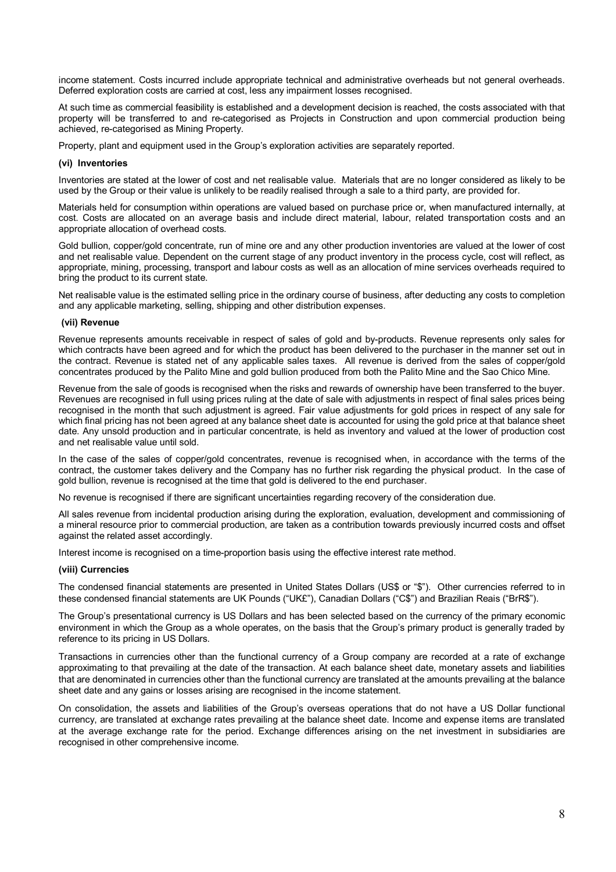income statement. Costs incurred include appropriate technical and administrative overheads but not general overheads. Deferred exploration costs are carried at cost, less any impairment losses recognised.

At such time as commercial feasibility is established and a development decision is reached, the costs associated with that property will be transferred to and re-categorised as Projects in Construction and upon commercial production being achieved, re-categorised as Mining Property.

Property, plant and equipment used in the Group's exploration activities are separately reported.

#### **(vi) Inventories**

Inventories are stated at the lower of cost and net realisable value. Materials that are no longer considered as likely to be used by the Group or their value is unlikely to be readily realised through a sale to a third party, are provided for.

Materials held for consumption within operations are valued based on purchase price or, when manufactured internally, at cost. Costs are allocated on an average basis and include direct material, labour, related transportation costs and an appropriate allocation of overhead costs.

Gold bullion, copper/gold concentrate, run of mine ore and any other production inventories are valued at the lower of cost and net realisable value. Dependent on the current stage of any product inventory in the process cycle, cost will reflect, as appropriate, mining, processing, transport and labour costs as well as an allocation of mine services overheads required to bring the product to its current state.

Net realisable value is the estimated selling price in the ordinary course of business, after deducting any costs to completion and any applicable marketing, selling, shipping and other distribution expenses.

#### **(vii) Revenue**

Revenue represents amounts receivable in respect of sales of gold and by-products. Revenue represents only sales for which contracts have been agreed and for which the product has been delivered to the purchaser in the manner set out in the contract. Revenue is stated net of any applicable sales taxes. All revenue is derived from the sales of copper/gold concentrates produced by the Palito Mine and gold bullion produced from both the Palito Mine and the Sao Chico Mine.

Revenue from the sale of goods is recognised when the risks and rewards of ownership have been transferred to the buyer. Revenues are recognised in full using prices ruling at the date of sale with adjustments in respect of final sales prices being recognised in the month that such adjustment is agreed. Fair value adjustments for gold prices in respect of any sale for which final pricing has not been agreed at any balance sheet date is accounted for using the gold price at that balance sheet date. Any unsold production and in particular concentrate, is held as inventory and valued at the lower of production cost and net realisable value until sold.

In the case of the sales of copper/gold concentrates, revenue is recognised when, in accordance with the terms of the contract, the customer takes delivery and the Company has no further risk regarding the physical product. In the case of gold bullion, revenue is recognised at the time that gold is delivered to the end purchaser.

No revenue is recognised if there are significant uncertainties regarding recovery of the consideration due.

All sales revenue from incidental production arising during the exploration, evaluation, development and commissioning of a mineral resource prior to commercial production, are taken as a contribution towards previously incurred costs and offset against the related asset accordingly.

Interest income is recognised on a time-proportion basis using the effective interest rate method.

#### **(viii) Currencies**

The condensed financial statements are presented in United States Dollars (US\$ or "\$"). Other currencies referred to in these condensed financial statements are UK Pounds ("UK£"), Canadian Dollars ("C\$") and Brazilian Reais ("BrR\$").

The Group's presentational currency is US Dollars and has been selected based on the currency of the primary economic environment in which the Group as a whole operates, on the basis that the Group's primary product is generally traded by reference to its pricing in US Dollars.

Transactions in currencies other than the functional currency of a Group company are recorded at a rate of exchange approximating to that prevailing at the date of the transaction. At each balance sheet date, monetary assets and liabilities that are denominated in currencies other than the functional currency are translated at the amounts prevailing at the balance sheet date and any gains or losses arising are recognised in the income statement.

On consolidation, the assets and liabilities of the Group's overseas operations that do not have a US Dollar functional currency, are translated at exchange rates prevailing at the balance sheet date. Income and expense items are translated at the average exchange rate for the period. Exchange differences arising on the net investment in subsidiaries are recognised in other comprehensive income.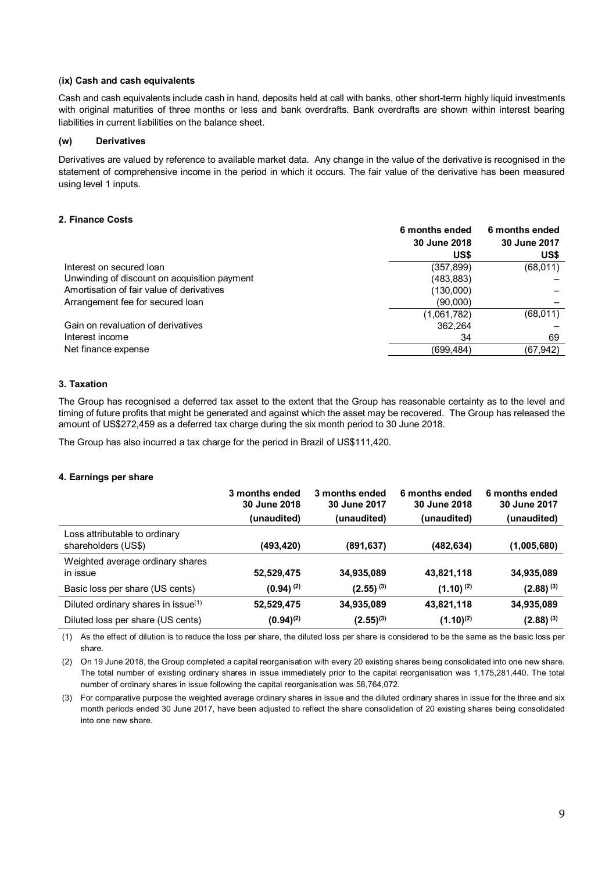#### (**ix) Cash and cash equivalents**

Cash and cash equivalents include cash in hand, deposits held at call with banks, other short-term highly liquid investments with original maturities of three months or less and bank overdrafts. Bank overdrafts are shown within interest bearing liabilities in current liabilities on the balance sheet.

#### **(w) Derivatives**

Derivatives are valued by reference to available market data. Any change in the value of the derivative is recognised in the statement of comprehensive income in the period in which it occurs. The fair value of the derivative has been measured using level 1 inputs.

#### **2. Finance Costs**

|                                              | 6 months ended<br>30 June 2018<br>US\$ | 6 months ended<br>30 June 2017<br>US\$ |
|----------------------------------------------|----------------------------------------|----------------------------------------|
| Interest on secured loan                     | (357,899)                              | (68,011)                               |
| Unwinding of discount on acquisition payment | (483, 883)                             |                                        |
| Amortisation of fair value of derivatives    | (130,000)                              |                                        |
| Arrangement fee for secured loan             | (90,000)                               |                                        |
|                                              | (1,061,782)                            | (68,011)                               |
| Gain on revaluation of derivatives           | 362.264                                |                                        |
| Interest income                              | 34                                     | 69                                     |
| Net finance expense                          | (699,484)                              | (67, 942)                              |
|                                              |                                        |                                        |

# **3. Taxation**

The Group has recognised a deferred tax asset to the extent that the Group has reasonable certainty as to the level and timing of future profits that might be generated and against which the asset may be recovered. The Group has released the amount of US\$272,459 as a deferred tax charge during the six month period to 30 June 2018.

The Group has also incurred a tax charge for the period in Brazil of US\$111,420.

#### **4. Earnings per share**

|                                                      | 3 months ended<br>30 June 2018<br>(unaudited) | 3 months ended<br>30 June 2017<br>(unaudited) | 6 months ended<br>30 June 2018<br>(unaudited) | 6 months ended<br>30 June 2017<br>(unaudited) |
|------------------------------------------------------|-----------------------------------------------|-----------------------------------------------|-----------------------------------------------|-----------------------------------------------|
| Loss attributable to ordinary<br>shareholders (US\$) | (493,420)                                     | (891,637)                                     | (482,634)                                     | (1,005,680)                                   |
| Weighted average ordinary shares<br>in issue         | 52,529,475                                    | 34,935,089                                    | 43,821,118                                    | 34,935,089                                    |
| Basic loss per share (US cents)                      | $(0.94)$ <sup>(2)</sup>                       | $(2.55)^{(3)}$                                | $(1.10)^{(2)}$                                | $(2.88)^{(3)}$                                |
| Diluted ordinary shares in issue(1)                  | 52,529,475                                    | 34,935,089                                    | 43,821,118                                    | 34,935,089                                    |
| Diluted loss per share (US cents)                    | $(0.94)^{(2)}$                                | $(2.55)^{(3)}$                                | $(1.10)^{(2)}$                                | $(2.88)^{(3)}$                                |

(1) As the effect of dilution is to reduce the loss per share, the diluted loss per share is considered to be the same as the basic loss per share.

(2) On 19 June 2018, the Group completed a capital reorganisation with every 20 existing shares being consolidated into one new share. The total number of existing ordinary shares in issue immediately prior to the capital reorganisation was 1,175,281,440. The total number of ordinary shares in issue following the capital reorganisation was 58,764,072.

(3) For comparative purpose the weighted average ordinary shares in issue and the diluted ordinary shares in issue for the three and six month periods ended 30 June 2017, have been adjusted to reflect the share consolidation of 20 existing shares being consolidated into one new share.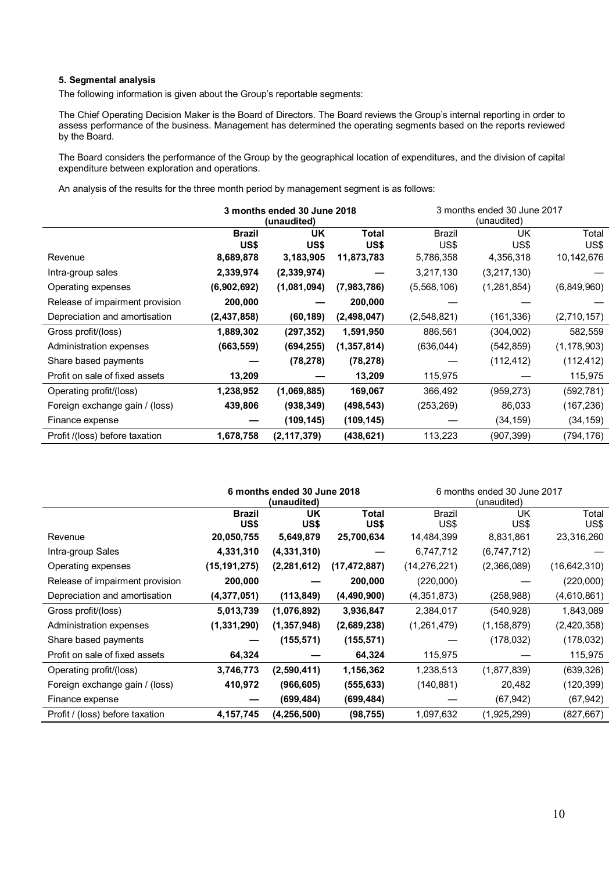# **5. Segmental analysis**

The following information is given about the Group's reportable segments:

The Chief Operating Decision Maker is the Board of Directors. The Board reviews the Group's internal reporting in order to assess performance of the business. Management has determined the operating segments based on the reports reviewed by the Board.

The Board considers the performance of the Group by the geographical location of expenditures, and the division of capital expenditure between exploration and operations.

An analysis of the results for the three month period by management segment is as follows:

|                                 | 3 months ended 30 June 2018 |               |               | 3 months ended 30 June 2017 |             |               |
|---------------------------------|-----------------------------|---------------|---------------|-----------------------------|-------------|---------------|
|                                 |                             | (unaudited)   |               | (unaudited)                 |             |               |
|                                 | <b>Brazil</b>               | UK            | Total         | <b>Brazil</b>               | <b>UK</b>   | Total         |
|                                 | US\$                        | US\$          | US\$          | US\$                        | US\$        | US\$          |
| Revenue                         | 8,689,878                   | 3,183,905     | 11,873,783    | 5,786,358                   | 4,356,318   | 10,142,676    |
| Intra-group sales               | 2,339,974                   | (2,339,974)   |               | 3,217,130                   | (3,217,130) |               |
| Operating expenses              | (6,902,692)                 | (1,081,094)   | (7,983,786)   | (5,568,106)                 | (1,281,854) | (6,849,960)   |
| Release of impairment provision | 200,000                     |               | 200,000       |                             |             |               |
| Depreciation and amortisation   | (2,437,858)                 | (60, 189)     | (2,498,047)   | (2,548,821)                 | (161,336)   | (2,710,157)   |
| Gross profit/(loss)             | 1,889,302                   | (297, 352)    | 1,591,950     | 886,561                     | (304, 002)  | 582,559       |
| Administration expenses         | (663, 559)                  | (694, 255)    | (1, 357, 814) | (636,044)                   | (542, 859)  | (1, 178, 903) |
| Share based payments            |                             | (78, 278)     | (78,278)      |                             | (112, 412)  | (112, 412)    |
| Profit on sale of fixed assets  | 13,209                      |               | 13,209        | 115,975                     |             | 115,975       |
| Operating profit/(loss)         | 1,238,952                   | (1,069,885)   | 169,067       | 366,492                     | (959, 273)  | (592, 781)    |
| Foreign exchange gain / (loss)  | 439,806                     | (938, 349)    | (498,543)     | (253, 269)                  | 86,033      | (167, 236)    |
| Finance expense                 |                             | (109, 145)    | (109, 145)    |                             | (34, 159)   | (34, 159)     |
| Profit /(loss) before taxation  | 1,678,758                   | (2, 117, 379) | (438, 621)    | 113,223                     | (907, 399)  | (794,176)     |

|                                 | 6 months ended 30 June 2018<br>(unaudited) |               |                |                | 6 months ended 30 June 2017<br>(unaudited) |                |
|---------------------------------|--------------------------------------------|---------------|----------------|----------------|--------------------------------------------|----------------|
|                                 | <b>Brazil</b><br>US\$                      | UK<br>US\$    | Total<br>US\$  | Brazil<br>US\$ | UK<br>US\$                                 | Total<br>US\$  |
| Revenue                         | 20,050,755                                 | 5,649,879     | 25,700,634     | 14,484,399     | 8,831,861                                  | 23,316,260     |
| Intra-group Sales               | 4,331,310                                  | (4, 331, 310) |                | 6,747,712      | (6,747,712)                                |                |
| Operating expenses              | (15, 191, 275)                             | (2, 281, 612) | (17, 472, 887) | (14, 276, 221) | (2,366,089)                                | (16, 642, 310) |
| Release of impairment provision | 200,000                                    |               | 200,000        | (220,000)      |                                            | (220,000)      |
| Depreciation and amortisation   | (4,377,051)                                | (113, 849)    | (4,490,900)    | (4,351,873)    | (258, 988)                                 | (4,610,861)    |
| Gross profit/(loss)             | 5,013,739                                  | (1,076,892)   | 3,936,847      | 2,384,017      | (540, 928)                                 | 1,843,089      |
| Administration expenses         | (1,331,290)                                | (1, 357, 948) | (2,689,238)    | (1,261,479)    | (1,158,879)                                | (2,420,358)    |
| Share based payments            |                                            | (155, 571)    | (155, 571)     |                | (178, 032)                                 | (178, 032)     |
| Profit on sale of fixed assets  | 64,324                                     |               | 64,324         | 115,975        |                                            | 115,975        |
| Operating profit/(loss)         | 3,746,773                                  | (2,590,411)   | 1,156,362      | 1,238,513      | (1,877,839)                                | (639, 326)     |
| Foreign exchange gain / (loss)  | 410,972                                    | (966, 605)    | (555, 633)     | (140, 881)     | 20,482                                     | (120, 399)     |
| Finance expense                 |                                            | (699, 484)    | (699, 484)     |                | (67, 942)                                  | (67, 942)      |
| Profit / (loss) before taxation | 4,157,745                                  | (4, 256, 500) | (98, 755)      | 1,097,632      | (1,925,299)                                | (827, 667)     |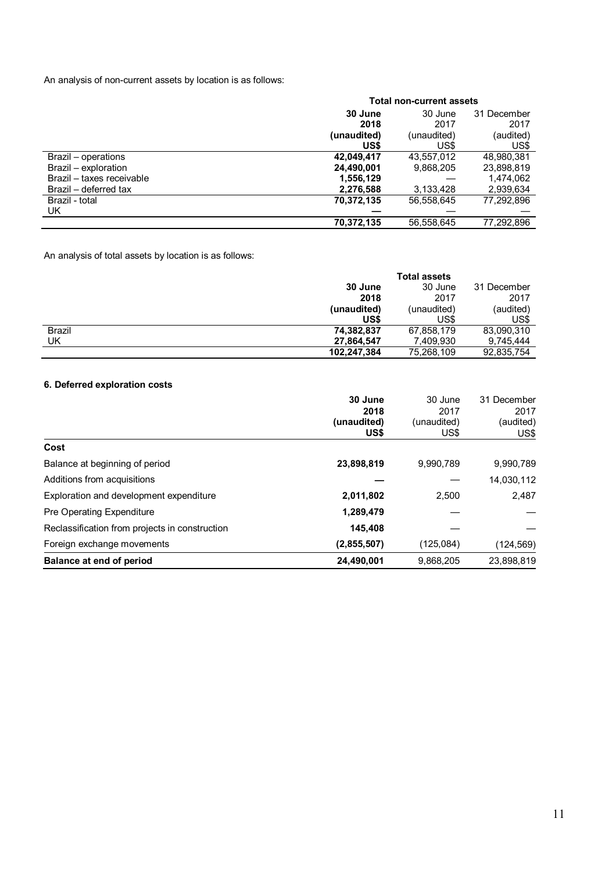An analysis of non-current assets by location is as follows:

|                           | <b>Total non-current assets</b> |             |             |  |  |
|---------------------------|---------------------------------|-------------|-------------|--|--|
|                           | 30 June                         | 30 June     | 31 December |  |  |
|                           | 2018                            | 2017        | 2017        |  |  |
|                           | (unaudited)                     | (unaudited) | (audited)   |  |  |
|                           | US\$                            | US\$        | US\$        |  |  |
| Brazil – operations       | 42,049,417                      | 43,557,012  | 48,980,381  |  |  |
| Brazil – exploration      | 24,490,001                      | 9,868,205   | 23,898,819  |  |  |
| Brazil - taxes receivable | 1,556,129                       |             | 1,474,062   |  |  |
| Brazil – deferred tax     | 2,276,588                       | 3,133,428   | 2,939,634   |  |  |
| Brazil - total            | 70,372,135                      | 56,558,645  | 77,292,896  |  |  |
| UK.                       |                                 |             |             |  |  |
|                           | 70,372,135                      | 56,558,645  | 77,292,896  |  |  |

An analysis of total assets by location is as follows:

|               | <b>Total assets</b> |             |             |  |
|---------------|---------------------|-------------|-------------|--|
|               | 30 June             | 30 June     | 31 December |  |
|               | 2018                | 2017        | 2017        |  |
|               | (unaudited)         | (unaudited) | (audited)   |  |
|               | US\$                | US\$        | US\$        |  |
| <b>Brazil</b> | 74,382,837          | 67,858,179  | 83,090,310  |  |
| UK            | 27,864,547          | 7,409,930   | 9.745.444   |  |
|               | 102,247,384         | 75,268,109  | 92,835,754  |  |

# **6. Deferred exploration costs**

|                                                | 30 June     | 30 June     | 31 December |  |
|------------------------------------------------|-------------|-------------|-------------|--|
|                                                | 2018        | 2017        | 2017        |  |
|                                                | (unaudited) | (unaudited) | (audited)   |  |
|                                                | US\$        | US\$        | US\$        |  |
| Cost                                           |             |             |             |  |
| Balance at beginning of period                 | 23,898,819  | 9,990,789   | 9,990,789   |  |
| Additions from acquisitions                    |             |             | 14,030,112  |  |
| Exploration and development expenditure        | 2,011,802   | 2.500       | 2.487       |  |
| <b>Pre Operating Expenditure</b>               | 1,289,479   |             |             |  |
| Reclassification from projects in construction | 145,408     |             |             |  |
| Foreign exchange movements                     | (2,855,507) | (125,084)   | (124,569)   |  |
| Balance at end of period                       | 24,490,001  | 9,868,205   | 23,898,819  |  |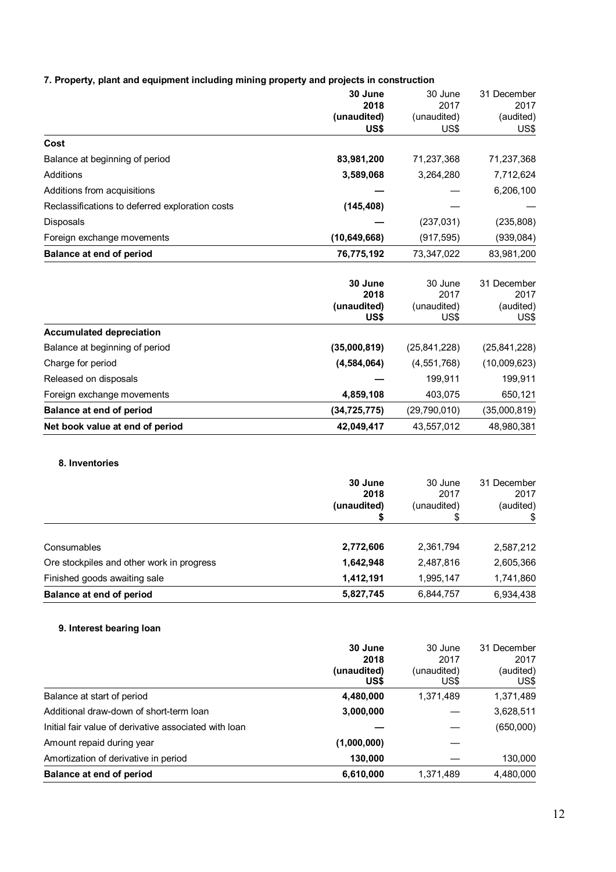|  |  |  |  | 7. Property, plant and equipment including mining property and projects in construction |
|--|--|--|--|-----------------------------------------------------------------------------------------|
|--|--|--|--|-----------------------------------------------------------------------------------------|

|                                                 | 30 June        | 30 June        | 31 December    |
|-------------------------------------------------|----------------|----------------|----------------|
|                                                 | 2018           | 2017           | 2017           |
|                                                 | (unaudited)    | (unaudited)    | (audited)      |
|                                                 | US\$           | US\$           | US\$           |
| Cost                                            |                |                |                |
| Balance at beginning of period                  | 83,981,200     | 71,237,368     | 71,237,368     |
| Additions                                       | 3,589,068      | 3,264,280      | 7,712,624      |
| Additions from acquisitions                     |                |                | 6,206,100      |
| Reclassifications to deferred exploration costs | (145, 408)     |                |                |
| <b>Disposals</b>                                |                | (237, 031)     | (235, 808)     |
| Foreign exchange movements                      | (10, 649, 668) | (917, 595)     | (939, 084)     |
| <b>Balance at end of period</b>                 | 76,775,192     | 73,347,022     | 83,981,200     |
|                                                 |                |                |                |
|                                                 | 30 June        | 30 June        | 31 December    |
|                                                 | 2018           | 2017           | 2017           |
|                                                 | (unaudited)    | (unaudited)    | (audited)      |
|                                                 | US\$           | US\$           | US\$           |
| <b>Accumulated depreciation</b>                 |                |                |                |
| Balance at beginning of period                  | (35,000,819)   | (25, 841, 228) | (25, 841, 228) |
| Charge for period                               | (4, 584, 064)  | (4, 551, 768)  | (10,009,623)   |
| Released on disposals                           |                | 199,911        | 199,911        |
| Foreign exchange movements                      | 4,859,108      | 403,075        | 650,121        |
| <b>Balance at end of period</b>                 | (34, 725, 775) | (29,790,010)   | (35,000,819)   |
| Net book value at end of period                 | 42,049,417     | 43,557,012     | 48,980,381     |

# **8. Inventories**

|                                           | 30 June<br>2018<br>(unaudited) | 30 June<br>2017<br>(unaudited) | 31 December<br>2017<br>(audited) |
|-------------------------------------------|--------------------------------|--------------------------------|----------------------------------|
| Consumables                               | 2,772,606                      | 2,361,794                      | 2,587,212                        |
| Ore stockpiles and other work in progress | 1,642,948                      | 2,487,816                      | 2,605,366                        |
| Finished goods awaiting sale              | 1,412,191                      | 1,995,147                      | 1,741,860                        |
| Balance at end of period                  | 5,827,745                      | 6,844,757                      | 6,934,438                        |

# **9. Interest bearing loan**

|                                                       | 30 June     | 30 June     | 31 December |
|-------------------------------------------------------|-------------|-------------|-------------|
|                                                       | 2018        | 2017        | 2017        |
|                                                       | (unaudited) | (unaudited) | (audited)   |
|                                                       | US\$        | US\$        | US\$        |
| Balance at start of period                            | 4,480,000   | 1,371,489   | 1,371,489   |
| Additional draw-down of short-term loan               | 3,000,000   |             | 3,628,511   |
| Initial fair value of derivative associated with loan |             |             | (650,000)   |
| Amount repaid during year                             | (1,000,000) |             |             |
| Amortization of derivative in period                  | 130,000     |             | 130,000     |
| Balance at end of period                              | 6,610,000   | 1,371,489   | 4,480,000   |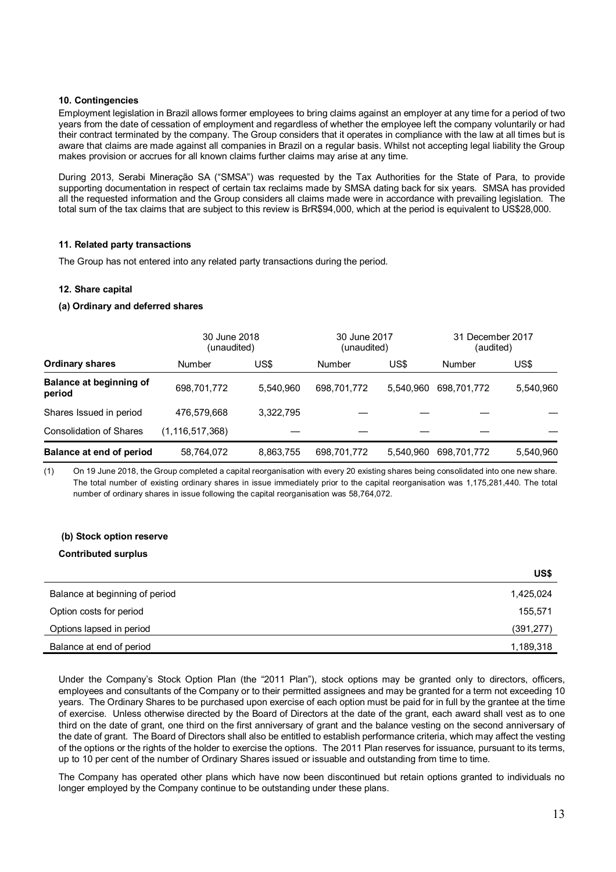# **10. Contingencies**

Employment legislation in Brazil allows former employees to bring claims against an employer at any time for a period of two years from the date of cessation of employment and regardless of whether the employee left the company voluntarily or had their contract terminated by the company. The Group considers that it operates in compliance with the law at all times but is aware that claims are made against all companies in Brazil on a regular basis. Whilst not accepting legal liability the Group makes provision or accrues for all known claims further claims may arise at any time.

During 2013, Serabi Mineração SA ("SMSA") was requested by the Tax Authorities for the State of Para, to provide supporting documentation in respect of certain tax reclaims made by SMSA dating back for six years. SMSA has provided all the requested information and the Group considers all claims made were in accordance with prevailing legislation. The total sum of the tax claims that are subject to this review is BrR\$94,000, which at the period is equivalent to US\$28,000.

#### **11. Related party transactions**

The Group has not entered into any related party transactions during the period.

#### **12. Share capital**

#### **(a) Ordinary and deferred shares**

|                                          | 30 June 2018<br>(unaudited) |           | 30 June 2017<br>(unaudited) |           | 31 December 2017<br>(audited) |           |
|------------------------------------------|-----------------------------|-----------|-----------------------------|-----------|-------------------------------|-----------|
| <b>Ordinary shares</b>                   | <b>Number</b>               | US\$      | Number                      | US\$      | <b>Number</b>                 | US\$      |
| <b>Balance at beginning of</b><br>period | 698,701,772                 | 5.540.960 | 698,701,772                 | 5.540.960 | 698.701.772                   | 5,540,960 |
| Shares Issued in period                  | 476.579.668                 | 3.322.795 |                             |           |                               |           |
| <b>Consolidation of Shares</b>           | (1, 116, 517, 368)          |           |                             |           |                               |           |
| Balance at end of period                 | 58,764,072                  | 8,863,755 | 698,701,772                 | 5.540.960 | 698,701,772                   | 5,540,960 |

(1) On 19 June 2018, the Group completed a capital reorganisation with every 20 existing shares being consolidated into one new share. The total number of existing ordinary shares in issue immediately prior to the capital reorganisation was 1,175,281,440. The total number of ordinary shares in issue following the capital reorganisation was 58,764,072.

# **(b) Stock option reserve**

#### **Contributed surplus**

|                                | US\$       |
|--------------------------------|------------|
| Balance at beginning of period | 1,425,024  |
| Option costs for period        | 155,571    |
| Options lapsed in period       | (391, 277) |
| Balance at end of period       | 1,189,318  |

Under the Company's Stock Option Plan (the "2011 Plan"), stock options may be granted only to directors, officers, employees and consultants of the Company or to their permitted assignees and may be granted for a term not exceeding 10 years. The Ordinary Shares to be purchased upon exercise of each option must be paid for in full by the grantee at the time of exercise. Unless otherwise directed by the Board of Directors at the date of the grant, each award shall vest as to one third on the date of grant, one third on the first anniversary of grant and the balance vesting on the second anniversary of the date of grant. The Board of Directors shall also be entitled to establish performance criteria, which may affect the vesting of the options or the rights of the holder to exercise the options. The 2011 Plan reserves for issuance, pursuant to its terms, up to 10 per cent of the number of Ordinary Shares issued or issuable and outstanding from time to time.

The Company has operated other plans which have now been discontinued but retain options granted to individuals no longer employed by the Company continue to be outstanding under these plans.